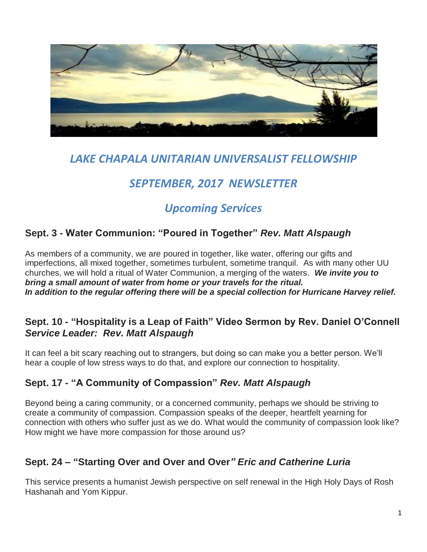

# *LAKE CHAPALA UNITARIAN UNIVERSALIST FELLOWSHIP*

# *SEPTEMBER, 2017 NEWSLETTER*

# *Upcoming Services*

## **Sept. 3 - Water Communion: "Poured in Together"** *Rev. Matt Alspaugh*

As members of a community, we are poured in together, like water, offering our gifts and imperfections, all mixed together, sometimes turbulent, sometime tranquil. As with many other UU churches, we will hold a ritual of Water Communion, a merging of the waters. *We invite you to bring a small amount of water from home or your travels for the ritual. In addition to the regular offering there will be a special collection for Hurricane Harvey relief.*

## **Sept. 10 - "Hospitality is a Leap of Faith" Video Sermon by Rev. Daniel O'Connell** *Service Leader: Rev. Matt Alspaugh*

It can feel a bit scary reaching out to strangers, but doing so can make you a better person. We'll hear a couple of low stress ways to do that, and explore our connection to hospitality.

## **Sept. 17 - "A Community of Compassion"** *Rev. Matt Alspaugh*

Beyond being a caring community, or a concerned community, perhaps we should be striving to create a community of compassion. Compassion speaks of the deeper, heartfelt yearning for connection with others who suffer just as we do. What would the community of compassion look like? How might we have more compassion for those around us?

## **Sept. 24 – "Starting Over and Over and Over***" Eric and Catherine Luria*

This service presents a humanist Jewish perspective on self renewal in the High Holy Days of Rosh Hashanah and Yom Kippur.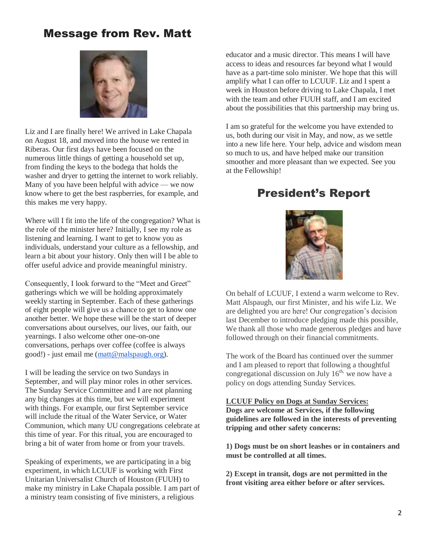## Message from Rev. Matt



Liz and I are finally here! We arrived in Lake Chapala on August 18, and moved into the house we rented in Riberas. Our first days have been focused on the numerous little things of getting a household set up, from finding the keys to the bodega that holds the washer and dryer to getting the internet to work reliably. Many of you have been helpful with advice — we now know where to get the best raspberries, for example, and this makes me very happy.

Where will I fit into the life of the congregation? What is the role of the minister here? Initially, I see my role as listening and learning. I want to get to know you as individuals, understand your culture as a fellowship, and learn a bit about your history. Only then will I be able to offer useful advice and provide meaningful ministry.

Consequently, I look forward to the "Meet and Greet" gatherings which we will be holding approximately weekly starting in September. Each of these gatherings of eight people will give us a chance to get to know one another better. We hope these will be the start of deeper conversations about ourselves, our lives, our faith, our yearnings. I also welcome other one-on-one conversations, perhaps over coffee (coffee is always good!) - just email me [\(matt@malspaugh.org\)](mailto:matt@malspaugh.org).

I will be leading the service on two Sundays in September, and will play minor roles in other services. The Sunday Service Committee and I are not planning any big changes at this time, but we will experiment with things. For example, our first September service will include the ritual of the Water Service, or Water Communion, which many UU congregations celebrate at this time of year. For this ritual, you are encouraged to bring a bit of water from home or from your travels.

Speaking of experiments, we are participating in a big experiment, in which LCUUF is working with First Unitarian Universalist Church of Houston (FUUH) to make my ministry in Lake Chapala possible. I am part of a ministry team consisting of five ministers, a religious

educator and a music director. This means I will have access to ideas and resources far beyond what I would have as a part-time solo minister. We hope that this will amplify what I can offer to LCUUF. Liz and I spent a week in Houston before driving to Lake Chapala, I met with the team and other FUUH staff, and I am excited about the possibilities that this partnership may bring us.

I am so grateful for the welcome you have extended to us, both during our visit in May, and now, as we settle into a new life here. Your help, advice and wisdom mean so much to us, and have helped make our transition smoother and more pleasant than we expected. See you at the Fellowship!

## President's Report



On behalf of LCUUF, I extend a warm welcome to Rev. Matt Alspaugh, our first Minister, and his wife Liz. We are delighted you are here! Our congregation's decision last December to introduce pledging made this possible, We thank all those who made generous pledges and have followed through on their financial commitments.

The work of the Board has continued over the summer and I am pleased to report that following a thoughtful congregational discussion on July  $16<sup>th</sup>$ , we now have a policy on dogs attending Sunday Services.

**LCUUF Policy on Dogs at Sunday Services: Dogs are welcome at Services, if the following guidelines are followed in the interests of preventing tripping and other safety concerns:** 

**1) Dogs must be on short leashes or in containers and must be controlled at all times.** 

**2) Except in transit, dogs are not permitted in the front visiting area either before or after services.**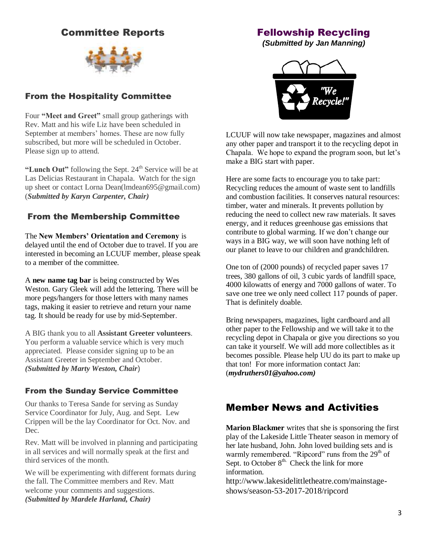## Committee Reports



### From the Hospitality Committee

Four **"Meet and Greet"** small group gatherings with Rev. Matt and his wife Liz have been scheduled in September at members' homes. These are now fully subscribed, but more will be scheduled in October. Please sign up to attend.

**"Lunch Out"** following the Sept. 24<sup>th</sup> Service will be at Las Delicias Restaurant in Chapala. Watch for the sign up sheet or contact Lorna Dean(lmdean695@gmail.com) (*Submitted by Karyn Carpenter, Chair)*

#### From the Membership Committee

The **New Members' Orientation and Ceremony** is delayed until the end of October due to travel. If you are interested in becoming an LCUUF member, please speak to a member of the committee.

A **new name tag bar** is being constructed by Wes Weston. Gary Gleek will add the lettering. There will be more pegs/hangers for those letters with many names tags, making it easier to retrieve and return your name tag. It should be ready for use by mid-September.

A BIG thank you to all **Assistant Greeter volunteers**. You perform a valuable service which is very much appreciated. Please consider signing up to be an Assistant Greeter in September and October. *(Submitted by Marty Weston, Chair*)

#### From the Sunday Service Committee

Our thanks to Teresa Sande for serving as Sunday Service Coordinator for July, Aug. and Sept. Lew Crippen will be the lay Coordinator for Oct. Nov. and Dec.

Rev. Matt will be involved in planning and participating in all services and will normally speak at the first and third services of the month.

We will be experimenting with different formats during the fall. The Committee members and Rev. Matt welcome your comments and suggestions. *(Submitted by Mardele Harland, Chair)*

### Fellowship Recycling

*(Submitted by Jan Manning)*



LCUUF will now take newspaper, magazines and almost any other paper and transport it to the recycling depot in Chapala. We hope to expand the program soon, but let's make a BIG start with paper.

Here are some facts to encourage you to take part: Recycling reduces the amount of waste sent to landfills and combustion facilities. It conserves natural resources: timber, water and minerals. It prevents pollution by reducing the need to collect new raw materials. It saves energy, and it reduces greenhouse gas emissions that contribute to global warming. If we don't change our ways in a BIG way, we will soon have nothing left of our planet to leave to our children and grandchildren.

One ton of (2000 pounds) of recycled paper saves 17 trees, 380 gallons of oil, 3 cubic yards of landfill space, 4000 kilowatts of energy and 7000 gallons of water. To save one tree we only need collect 117 pounds of paper. That is definitely doable.

Bring newspapers, magazines, light cardboard and all other paper to the Fellowship and we will take it to the recycling depot in Chapala or give you directions so you can take it yourself. We will add more collectibles as it becomes possible. Please help UU do its part to make up that ton! For more information contact Jan: (*mydruthers01@yahoo.com)*

## Member News and Activities

**Marion Blackmer** writes that she is sponsoring the first play of the Lakeside Little Theater season in memory of her late husband, John. John loved building sets and is warmly remembered. "Ripcord" runs from the  $29<sup>th</sup>$  of Sept. to October  $8^{th}$ . Check the link for more information.

http://www.lakesidelittletheatre.com/mainstageshows/season-53-2017-2018/ripcord